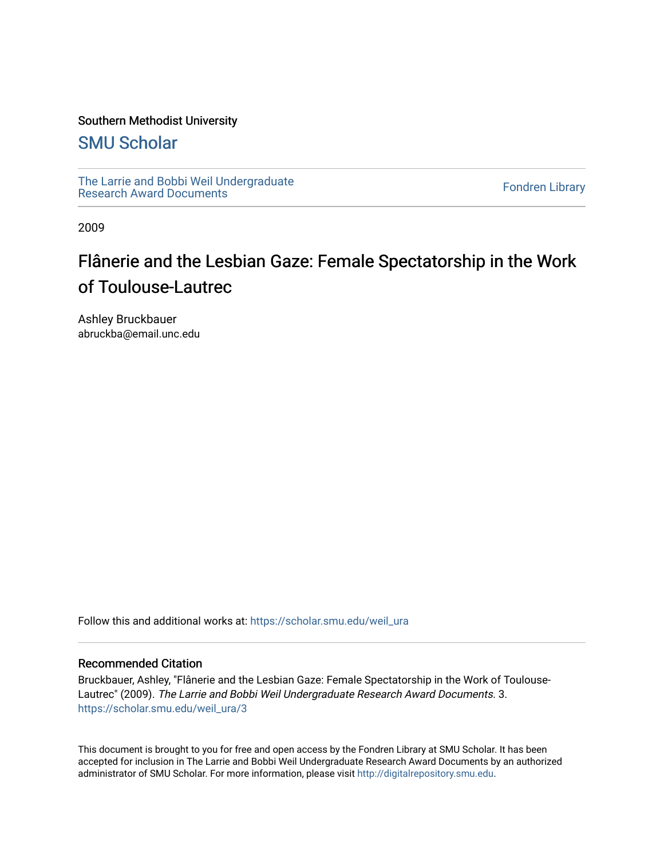#### Southern Methodist University

### [SMU Scholar](https://scholar.smu.edu/)

[The Larrie and Bobbi Weil Undergraduate](https://scholar.smu.edu/weil_ura) The Lattle and Bobbi wen Undergraduate<br>[Research Award Documents](https://scholar.smu.edu/weil_ura)

2009

## Flânerie and the Lesbian Gaze: Female Spectatorship in the Work of Toulouse-Lautrec

Ashley Bruckbauer abruckba@email.unc.edu

Follow this and additional works at: [https://scholar.smu.edu/weil\\_ura](https://scholar.smu.edu/weil_ura?utm_source=scholar.smu.edu%2Fweil_ura%2F3&utm_medium=PDF&utm_campaign=PDFCoverPages)

#### Recommended Citation

Bruckbauer, Ashley, "Flânerie and the Lesbian Gaze: Female Spectatorship in the Work of Toulouse-Lautrec" (2009). The Larrie and Bobbi Weil Undergraduate Research Award Documents. 3. [https://scholar.smu.edu/weil\\_ura/3](https://scholar.smu.edu/weil_ura/3?utm_source=scholar.smu.edu%2Fweil_ura%2F3&utm_medium=PDF&utm_campaign=PDFCoverPages) 

This document is brought to you for free and open access by the Fondren Library at SMU Scholar. It has been accepted for inclusion in The Larrie and Bobbi Weil Undergraduate Research Award Documents by an authorized administrator of SMU Scholar. For more information, please visit [http://digitalrepository.smu.edu](http://digitalrepository.smu.edu/).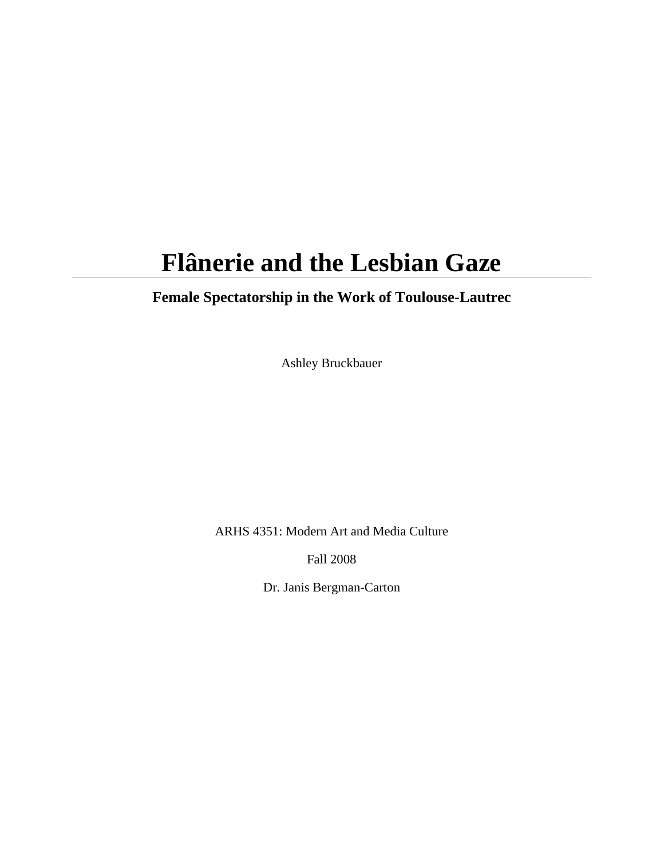# **Flânerie and the Lesbian Gaze**

## **Female Spectatorship in the Work of Toulouse-Lautrec**

Ashley Bruckbauer

ARHS 4351: Modern Art and Media Culture

Fall 2008

Dr. Janis Bergman-Carton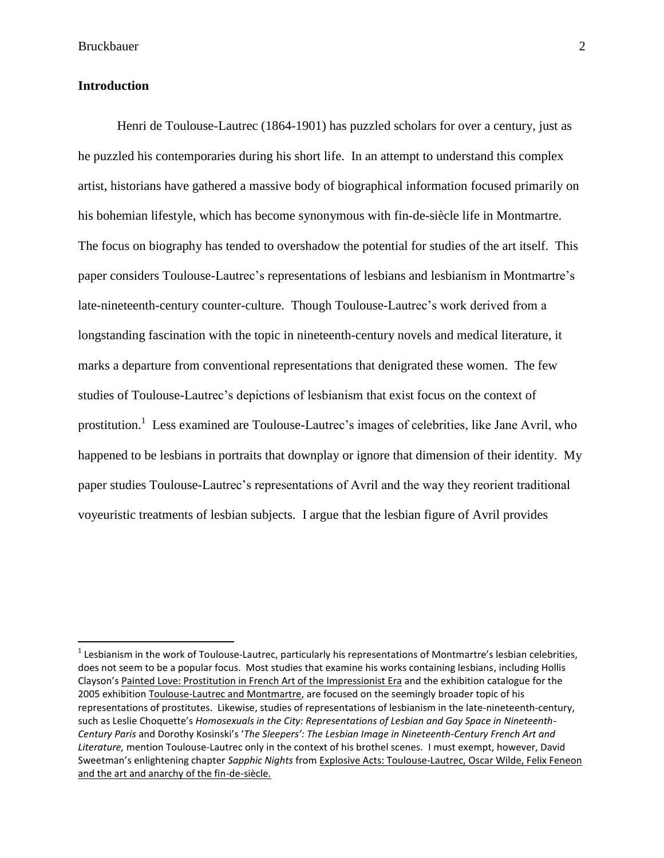#### **Introduction**

 $\overline{\phantom{a}}$ 

Henri de Toulouse-Lautrec (1864-1901) has puzzled scholars for over a century, just as he puzzled his contemporaries during his short life. In an attempt to understand this complex artist, historians have gathered a massive body of biographical information focused primarily on his bohemian lifestyle, which has become synonymous with fin-de-siècle life in Montmartre. The focus on biography has tended to overshadow the potential for studies of the art itself. This paper considers Toulouse-Lautrec"s representations of lesbians and lesbianism in Montmartre"s late-nineteenth-century counter-culture. Though Toulouse-Lautrec"s work derived from a longstanding fascination with the topic in nineteenth-century novels and medical literature, it marks a departure from conventional representations that denigrated these women. The few studies of Toulouse-Lautrec"s depictions of lesbianism that exist focus on the context of prostitution.<sup>1</sup> Less examined are Toulouse-Lautrec's images of celebrities, like Jane Avril, who happened to be lesbians in portraits that downplay or ignore that dimension of their identity. My paper studies Toulouse-Lautrec"s representations of Avril and the way they reorient traditional voyeuristic treatments of lesbian subjects. I argue that the lesbian figure of Avril provides

 $^1$  Lesbianism in the work of Toulouse-Lautrec, particularly his representations of Montmartre's lesbian celebrities, does not seem to be a popular focus. Most studies that examine his works containing lesbians, including Hollis Clayson's Painted Love: Prostitution in French Art of the Impressionist Era and the exhibition catalogue for the 2005 exhibition Toulouse-Lautrec and Montmartre, are focused on the seemingly broader topic of his representations of prostitutes. Likewise, studies of representations of lesbianism in the late-nineteenth-century, such as Leslie Choquette's *Homosexuals in the City: Representations of Lesbian and Gay Space in Nineteenth-Century Paris* and Dorothy Kosinski's '*The Sleepers': The Lesbian Image in Nineteenth-Century French Art and Literature,* mention Toulouse-Lautrec only in the context of his brothel scenes. I must exempt, however, David Sweetman's enlightening chapter *Sapphic Nights* from Explosive Acts: Toulouse-Lautrec, Oscar Wilde, Felix Feneon and the art and anarchy of the fin-de-siècle.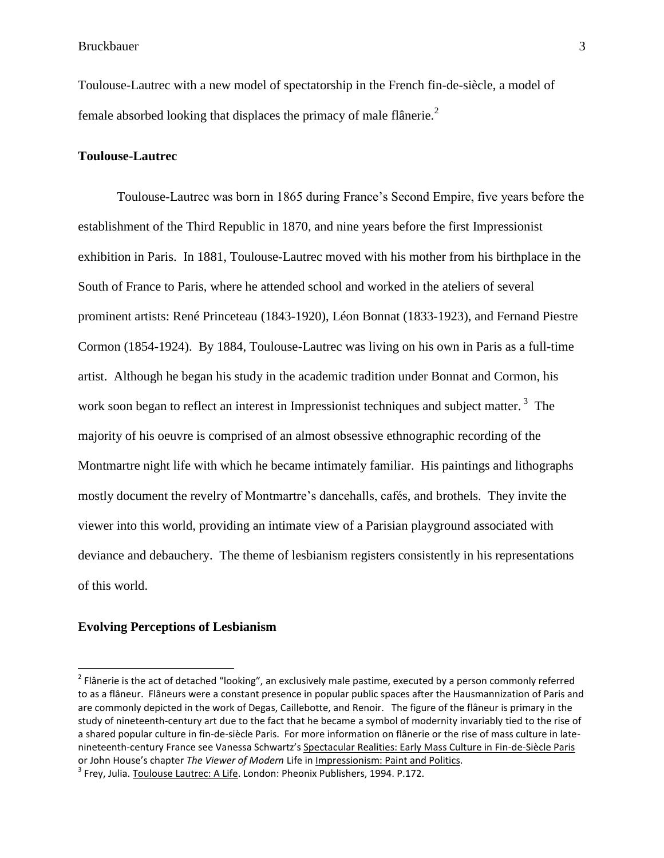Toulouse-Lautrec with a new model of spectatorship in the French fin-de-siècle, a model of female absorbed looking that displaces the primacy of male flânerie.<sup>2</sup>

#### **Toulouse-Lautrec**

Toulouse-Lautrec was born in 1865 during France"s Second Empire, five years before the establishment of the Third Republic in 1870, and nine years before the first Impressionist exhibition in Paris. In 1881, Toulouse-Lautrec moved with his mother from his birthplace in the South of France to Paris, where he attended school and worked in the ateliers of several prominent artists: René Princeteau (1843-1920), Léon Bonnat (1833-1923), and Fernand Piestre Cormon (1854-1924). By 1884, Toulouse-Lautrec was living on his own in Paris as a full-time artist. Although he began his study in the academic tradition under Bonnat and Cormon, his work soon began to reflect an interest in Impressionist techniques and subject matter.<sup>3</sup> The majority of his oeuvre is comprised of an almost obsessive ethnographic recording of the Montmartre night life with which he became intimately familiar. His paintings and lithographs mostly document the revelry of Montmartre's dancehalls, cafés, and brothels. They invite the viewer into this world, providing an intimate view of a Parisian playground associated with deviance and debauchery. The theme of lesbianism registers consistently in his representations of this world.

#### **Evolving Perceptions of Lesbianism**

 $^2$  Flânerie is the act of detached "looking", an exclusively male pastime, executed by a person commonly referred to as a flâneur. Flâneurs were a constant presence in popular public spaces after the Hausmannization of Paris and are commonly depicted in the work of Degas, Caillebotte, and Renoir. The figure of the flâneur is primary in the study of nineteenth-century art due to the fact that he became a symbol of modernity invariably tied to the rise of a shared popular culture in fin-de-siècle Paris. For more information on flânerie or the rise of mass culture in latenineteenth-century France see Vanessa Schwartz's Spectacular Realities: Early Mass Culture in Fin-de-Siècle Paris or John House's chapter *The Viewer of Modern* Life in Impressionism: Paint and Politics.

<sup>&</sup>lt;sup>3</sup> Frey, Julia. <u>Toulouse Lautrec: A Life</u>. London: Pheonix Publishers, 1994. P.172.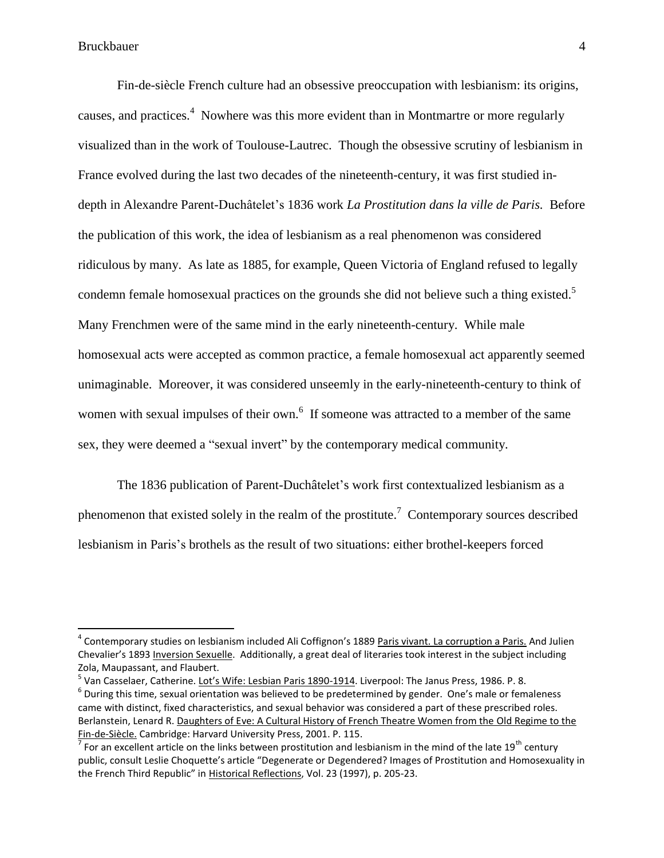$\overline{a}$ 

Fin-de-siècle French culture had an obsessive preoccupation with lesbianism: its origins, causes, and practices.<sup>4</sup> Nowhere was this more evident than in Montmartre or more regularly visualized than in the work of Toulouse-Lautrec. Though the obsessive scrutiny of lesbianism in France evolved during the last two decades of the nineteenth-century, it was first studied indepth in Alexandre Parent-Duchâtelet"s 1836 work *La Prostitution dans la ville de Paris.* Before the publication of this work, the idea of lesbianism as a real phenomenon was considered ridiculous by many. As late as 1885, for example, Queen Victoria of England refused to legally condemn female homosexual practices on the grounds she did not believe such a thing existed.<sup>5</sup> Many Frenchmen were of the same mind in the early nineteenth-century. While male homosexual acts were accepted as common practice, a female homosexual act apparently seemed unimaginable. Moreover, it was considered unseemly in the early-nineteenth-century to think of women with sexual impulses of their own.<sup>6</sup> If someone was attracted to a member of the same sex, they were deemed a "sexual invert" by the contemporary medical community.

The 1836 publication of Parent-Duchâtelet's work first contextualized lesbianism as a phenomenon that existed solely in the realm of the prostitute.<sup>7</sup> Contemporary sources described lesbianism in Paris"s brothels as the result of two situations: either brothel-keepers forced

<sup>5</sup> Van Casselaer, Catherine. <u>Lot's Wife: Lesbian Paris 1890-1914</u>. Liverpool: The Janus Press, 1986. P. 8.

<sup>&</sup>lt;sup>4</sup> Contemporary studies on lesbianism included Ali Coffignon's 1889 Paris vivant. La corruption a Paris. And Julien Chevalier's 1893 Inversion Sexuelle. Additionally, a great deal of literaries took interest in the subject including Zola, Maupassant, and Flaubert.

 $^6$  During this time, sexual orientation was believed to be predetermined by gender. One's male or femaleness came with distinct, fixed characteristics, and sexual behavior was considered a part of these prescribed roles. Berlanstein, Lenard R. Daughters of Eve: A Cultural History of French Theatre Women from the Old Regime to the Fin-de-Siècle. Cambridge: Harvard University Press, 2001. P. 115.

<sup>&</sup>lt;sup>7</sup> For an excellent article on the links between prostitution and lesbianism in the mind of the late 19<sup>th</sup> century public, consult Leslie Choquette's article "Degenerate or Degendered? Images of Prostitution and Homosexuality in the French Third Republic" in Historical Reflections, Vol. 23 (1997), p. 205-23.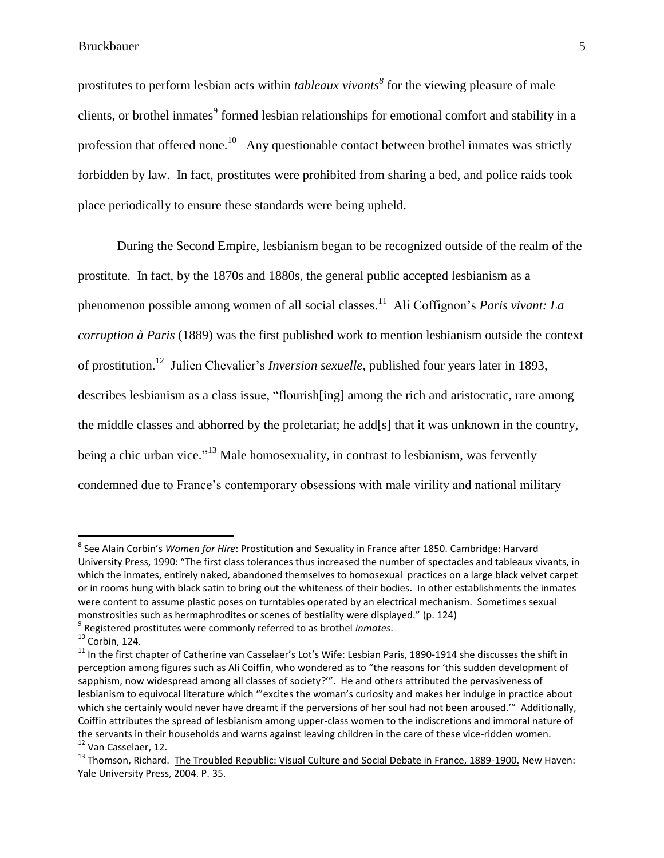prostitutes to perform lesbian acts within *tableaux vivants<sup>8</sup>* for the viewing pleasure of male clients, or brothel inmates<sup>9</sup> formed lesbian relationships for emotional comfort and stability in a profession that offered none.<sup>10</sup> Any questionable contact between brothel inmates was strictly forbidden by law. In fact, prostitutes were prohibited from sharing a bed, and police raids took place periodically to ensure these standards were being upheld.

During the Second Empire, lesbianism began to be recognized outside of the realm of the prostitute. In fact, by the 1870s and 1880s, the general public accepted lesbianism as a phenomenon possible among women of all social classes.<sup>11</sup> Ali Coffignon's *Paris vivant: La corruption à Paris* (1889) was the first published work to mention lesbianism outside the context of prostitution. 12 Julien Chevalier"s *Inversion sexuelle,* published four years later in 1893, describes lesbianism as a class issue, "flourish[ing] among the rich and aristocratic, rare among the middle classes and abhorred by the proletariat; he add[s] that it was unknown in the country, being a chic urban vice."<sup>13</sup> Male homosexuality, in contrast to lesbianism, was fervently condemned due to France"s contemporary obsessions with male virility and national military

l

<sup>&</sup>lt;sup>8</sup> See Alain Corbin's <u>Women for Hire: Prostitution and Sexuality in France after 1850.</u> Cambridge: Harvard University Press, 1990: "The first class tolerances thus increased the number of spectacles and tableaux vivants, in which the inmates, entirely naked, abandoned themselves to homosexual practices on a large black velvet carpet or in rooms hung with black satin to bring out the whiteness of their bodies. In other establishments the inmates were content to assume plastic poses on turntables operated by an electrical mechanism. Sometimes sexual monstrosities such as hermaphrodites or scenes of bestiality were displayed." (p. 124)

<sup>9</sup> Registered prostitutes were commonly referred to as brothel *inmates*.

<sup>10</sup> Corbin, 124.

 $11$  In the first chapter of Catherine van Casselaer's Lot's Wife: Lesbian Paris, 1890-1914 she discusses the shift in perception among figures such as Ali Coiffin, who wondered as to "the reasons for 'this sudden development of sapphism, now widespread among all classes of society?". He and others attributed the pervasiveness of lesbianism to equivocal literature which "'excites the woman's curiosity and makes her indulge in practice about which she certainly would never have dreamt if the perversions of her soul had not been aroused."" Additionally, Coiffin attributes the spread of lesbianism among upper-class women to the indiscretions and immoral nature of the servants in their households and warns against leaving children in the care of these vice-ridden women. <sup>12</sup> Van Casselaer, 12.

<sup>&</sup>lt;sup>13</sup> Thomson, Richard. The Troubled Republic: Visual Culture and Social Debate in France, 1889-1900. New Haven: Yale University Press, 2004. P. 35.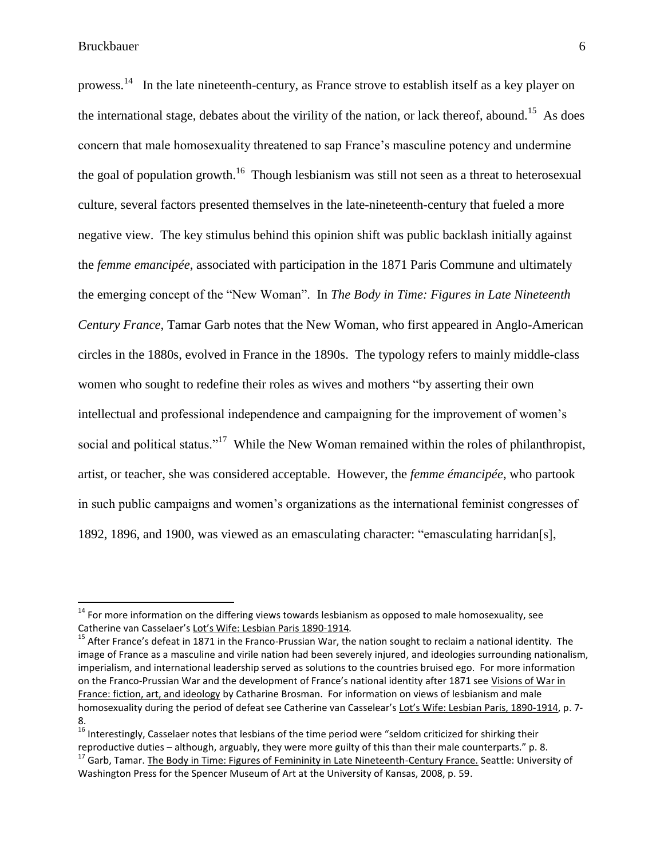$\overline{a}$ 

prowess.<sup>14</sup> In the late nineteenth-century, as France strove to establish itself as a key player on the international stage, debates about the virility of the nation, or lack thereof, abound.<sup>15</sup> As does concern that male homosexuality threatened to sap France"s masculine potency and undermine the goal of population growth.<sup>16</sup> Though lesbianism was still not seen as a threat to heterosexual culture, several factors presented themselves in the late-nineteenth-century that fueled a more negative view. The key stimulus behind this opinion shift was public backlash initially against the *femme emancipée*, associated with participation in the 1871 Paris Commune and ultimately the emerging concept of the "New Woman". In *The Body in Time: Figures in Late Nineteenth Century France*, Tamar Garb notes that the New Woman, who first appeared in Anglo-American circles in the 1880s, evolved in France in the 1890s. The typology refers to mainly middle-class women who sought to redefine their roles as wives and mothers "by asserting their own intellectual and professional independence and campaigning for the improvement of women"s social and political status."<sup>17</sup> While the New Woman remained within the roles of philanthropist, artist, or teacher, she was considered acceptable. However, the *femme émancipée*, who partook in such public campaigns and women"s organizations as the international feminist congresses of 1892, 1896, and 1900, was viewed as an emasculating character: "emasculating harridan[s],

 $14$  For more information on the differing views towards lesbianism as opposed to male homosexuality, see Catherine van Casselaer's Lot's Wife: Lesbian Paris 1890-1914*.*

<sup>&</sup>lt;sup>15</sup> After France's defeat in 1871 in the Franco-Prussian War, the nation sought to reclaim a national identity. The image of France as a masculine and virile nation had been severely injured, and ideologies surrounding nationalism, imperialism, and international leadership served as solutions to the countries bruised ego. For more information on the Franco-Prussian War and the development of France's national identity after 1871 see Visions of War in France: fiction, art, and ideology by Catharine Brosman. For information on views of lesbianism and male homosexuality during the period of defeat see Catherine van Casselear's Lot's Wife: Lesbian Paris, 1890-1914, p. 7- 8.

<sup>&</sup>lt;sup>16</sup> Interestingly, Casselaer notes that lesbians of the time period were "seldom criticized for shirking their reproductive duties – although, arguably, they were more guilty of this than their male counterparts." p. 8. <sup>17</sup> Garb, Tamar. The Body in Time: Figures of Femininity in Late Nineteenth-Century France. Seattle: University of Washington Press for the Spencer Museum of Art at the University of Kansas, 2008, p. 59.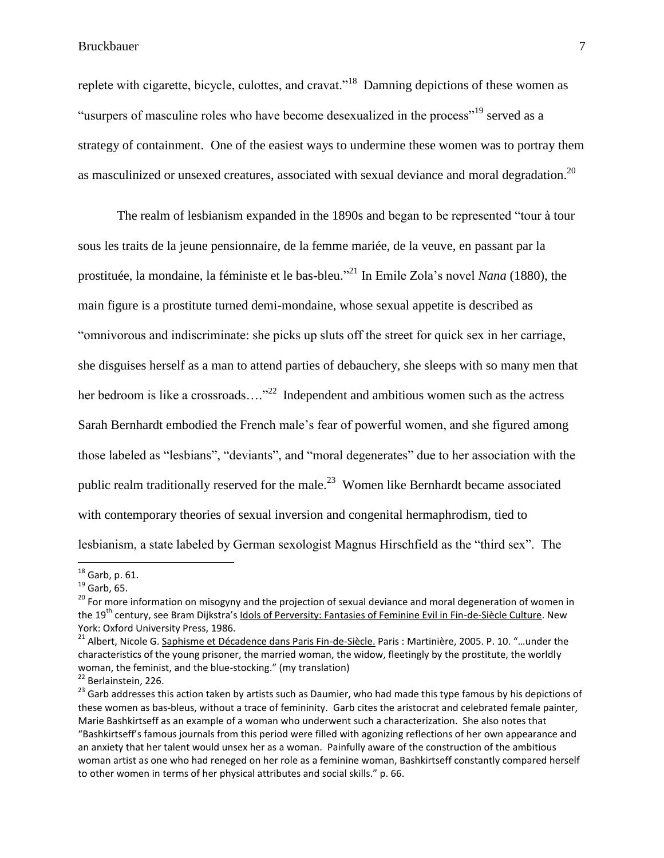replete with cigarette, bicycle, culottes, and cravat."<sup>18</sup> Damning depictions of these women as "usurpers of masculine roles who have become desexualized in the process"<sup>19</sup> served as a strategy of containment. One of the easiest ways to undermine these women was to portray them as masculinized or unsexed creatures, associated with sexual deviance and moral degradation.<sup>20</sup>

The realm of lesbianism expanded in the 1890s and began to be represented "tour à tour sous les traits de la jeune pensionnaire, de la femme mariée, de la veuve, en passant par la prostituée, la mondaine, la féministe et le bas-bleu." <sup>21</sup> In Emile Zola"s novel *Nana* (1880), the main figure is a prostitute turned demi-mondaine, whose sexual appetite is described as "omnivorous and indiscriminate: she picks up sluts off the street for quick sex in her carriage, she disguises herself as a man to attend parties of debauchery, she sleeps with so many men that her bedroom is like a crossroads...."<sup>22</sup> Independent and ambitious women such as the actress Sarah Bernhardt embodied the French male's fear of powerful women, and she figured among those labeled as "lesbians", "deviants", and "moral degenerates" due to her association with the public realm traditionally reserved for the male.<sup>23</sup> Women like Bernhardt became associated with contemporary theories of sexual inversion and congenital hermaphrodism, tied to lesbianism, a state labeled by German sexologist Magnus Hirschfield as the "third sex". The

l

 $^{18}$  Garb, p. 61.

 $^{19}$  Garb, 65.

 $20$  For more information on misogyny and the projection of sexual deviance and moral degeneration of women in the 19<sup>th</sup> century, see Bram Dijkstra's Idols of Perversity: Fantasies of Feminine Evil in Fin-de-Siècle Culture. New York: Oxford University Press, 1986.

<sup>&</sup>lt;sup>21</sup> Albert, Nicole G. Saphisme et Décadence dans Paris Fin-de-Siècle. Paris : Martinière, 2005. P. 10. "...under the characteristics of the young prisoner, the married woman, the widow, fleetingly by the prostitute, the worldly woman, the feminist, and the blue-stocking." (my translation)

<sup>22</sup> Berlainstein, 226.

<sup>&</sup>lt;sup>23</sup> Garb addresses this action taken by artists such as Daumier, who had made this type famous by his depictions of these women as bas-bleus, without a trace of femininity. Garb cites the aristocrat and celebrated female painter, Marie Bashkirtseff as an example of a woman who underwent such a characterization. She also notes that "Bashkirtseff's famous journals from this period were filled with agonizing reflections of her own appearance and an anxiety that her talent would unsex her as a woman. Painfully aware of the construction of the ambitious woman artist as one who had reneged on her role as a feminine woman, Bashkirtseff constantly compared herself to other women in terms of her physical attributes and social skills." p. 66.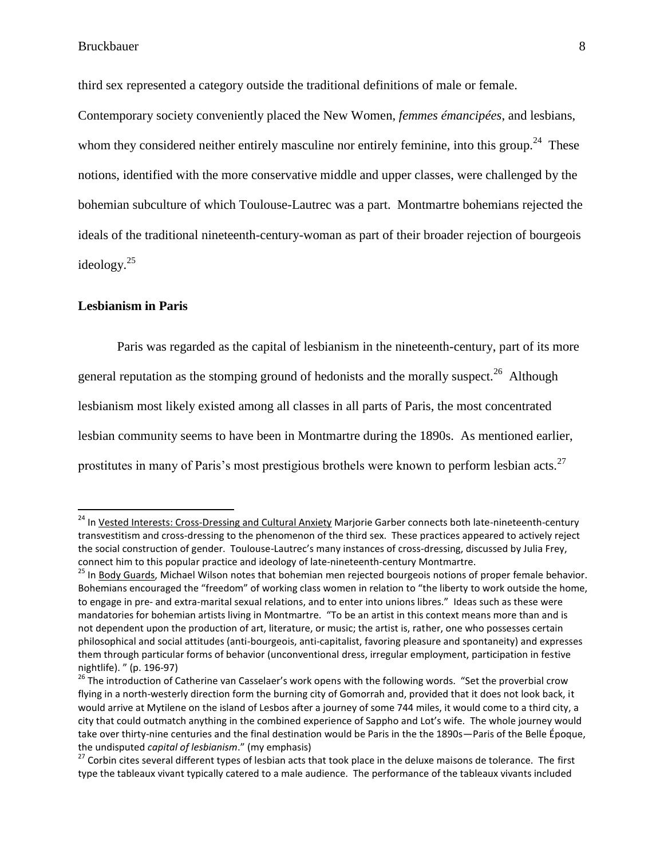third sex represented a category outside the traditional definitions of male or female.

Contemporary society conveniently placed the New Women, *femmes émancipées*, and lesbians, whom they considered neither entirely masculine nor entirely feminine, into this group.<sup>24</sup> These notions, identified with the more conservative middle and upper classes, were challenged by the bohemian subculture of which Toulouse-Lautrec was a part. Montmartre bohemians rejected the ideals of the traditional nineteenth-century-woman as part of their broader rejection of bourgeois ideology. 25

#### **Lesbianism in Paris**

l

Paris was regarded as the capital of lesbianism in the nineteenth-century, part of its more general reputation as the stomping ground of hedonists and the morally suspect.<sup>26</sup> Although lesbianism most likely existed among all classes in all parts of Paris, the most concentrated lesbian community seems to have been in Montmartre during the 1890s. As mentioned earlier, prostitutes in many of Paris's most prestigious brothels were known to perform lesbian acts.<sup>27</sup>

<sup>&</sup>lt;sup>24</sup> In Vested Interests: Cross-Dressing and Cultural Anxiety Marjorie Garber connects both late-nineteenth-century transvestitism and cross-dressing to the phenomenon of the third sex. These practices appeared to actively reject the social construction of gender. Toulouse-Lautrec's many instances of cross-dressing, discussed by Julia Frey, connect him to this popular practice and ideology of late-nineteenth-century Montmartre.

<sup>&</sup>lt;sup>25</sup> In Body Guards, Michael Wilson notes that bohemian men rejected bourgeois notions of proper female behavior. Bohemians encouraged the "freedom" of working class women in relation to "the liberty to work outside the home, to engage in pre- and extra-marital sexual relations, and to enter into unions libres." Ideas such as these were mandatories for bohemian artists living in Montmartre. "To be an artist in this context means more than and is not dependent upon the production of art, literature, or music; the artist is, rather, one who possesses certain philosophical and social attitudes (anti-bourgeois, anti-capitalist, favoring pleasure and spontaneity) and expresses them through particular forms of behavior (unconventional dress, irregular employment, participation in festive nightlife). " (p. 196-97)

<sup>&</sup>lt;sup>26</sup> The introduction of Catherine van Casselaer's work opens with the following words. "Set the proverbial crow flying in a north-westerly direction form the burning city of Gomorrah and, provided that it does not look back, it would arrive at Mytilene on the island of Lesbos after a journey of some 744 miles, it would come to a third city, a city that could outmatch anything in the combined experience of Sappho and Lot's wife. The whole journey would take over thirty-nine centuries and the final destination would be Paris in the the 1890s—Paris of the Belle Époque, the undisputed *capital of lesbianism*." (my emphasis)

<sup>&</sup>lt;sup>27</sup> Corbin cites several different types of lesbian acts that took place in the deluxe maisons de tolerance. The first type the tableaux vivant typically catered to a male audience. The performance of the tableaux vivants included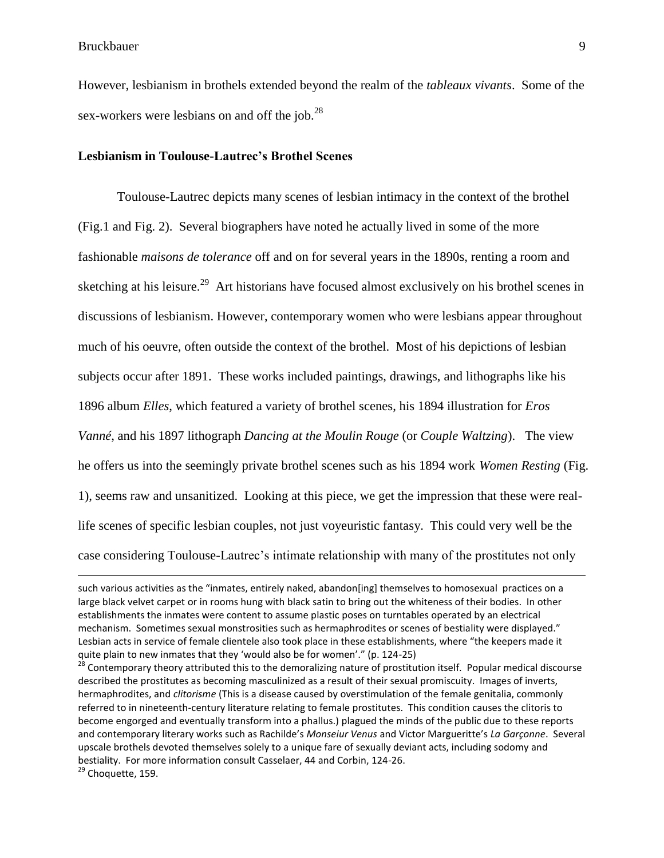However, lesbianism in brothels extended beyond the realm of the *tableaux vivants*. Some of the sex-workers were lesbians on and off the job. $^{28}$ 

#### **Lesbianism in Toulouse-Lautrec's Brothel Scenes**

Toulouse-Lautrec depicts many scenes of lesbian intimacy in the context of the brothel (Fig.1 and Fig. 2). Several biographers have noted he actually lived in some of the more fashionable *maisons de tolerance* off and on for several years in the 1890s, renting a room and sketching at his leisure.<sup>29</sup> Art historians have focused almost exclusively on his brothel scenes in discussions of lesbianism. However, contemporary women who were lesbians appear throughout much of his oeuvre, often outside the context of the brothel. Most of his depictions of lesbian subjects occur after 1891. These works included paintings, drawings, and lithographs like his 1896 album *Elles*, which featured a variety of brothel scenes, his 1894 illustration for *Eros Vanné*, and his 1897 lithograph *Dancing at the Moulin Rouge* (or *Couple Waltzing*). The view he offers us into the seemingly private brothel scenes such as his 1894 work *Women Resting* (Fig. 1), seems raw and unsanitized. Looking at this piece, we get the impression that these were reallife scenes of specific lesbian couples, not just voyeuristic fantasy. This could very well be the case considering Toulouse-Lautrec"s intimate relationship with many of the prostitutes not only

such various activities as the "inmates, entirely naked, abandon[ing] themselves to homosexual practices on a large black velvet carpet or in rooms hung with black satin to bring out the whiteness of their bodies. In other establishments the inmates were content to assume plastic poses on turntables operated by an electrical mechanism. Sometimes sexual monstrosities such as hermaphrodites or scenes of bestiality were displayed." Lesbian acts in service of female clientele also took place in these establishments, where "the keepers made it quite plain to new inmates that they 'would also be for women'." (p. 124-25)

<sup>&</sup>lt;sup>28</sup> Contemporary theory attributed this to the demoralizing nature of prostitution itself. Popular medical discourse described the prostitutes as becoming masculinized as a result of their sexual promiscuity. Images of inverts, hermaphrodites, and *clitorisme* (This is a disease caused by overstimulation of the female genitalia, commonly referred to in nineteenth-century literature relating to female prostitutes. This condition causes the clitoris to become engorged and eventually transform into a phallus.) plagued the minds of the public due to these reports and contemporary literary works such as Rachilde's *Monseiur Venus* and Victor Margueritte's *La Garçonne*. Several upscale brothels devoted themselves solely to a unique fare of sexually deviant acts, including sodomy and bestiality. For more information consult Casselaer, 44 and Corbin, 124-26.

<sup>&</sup>lt;sup>29</sup> Choquette, 159.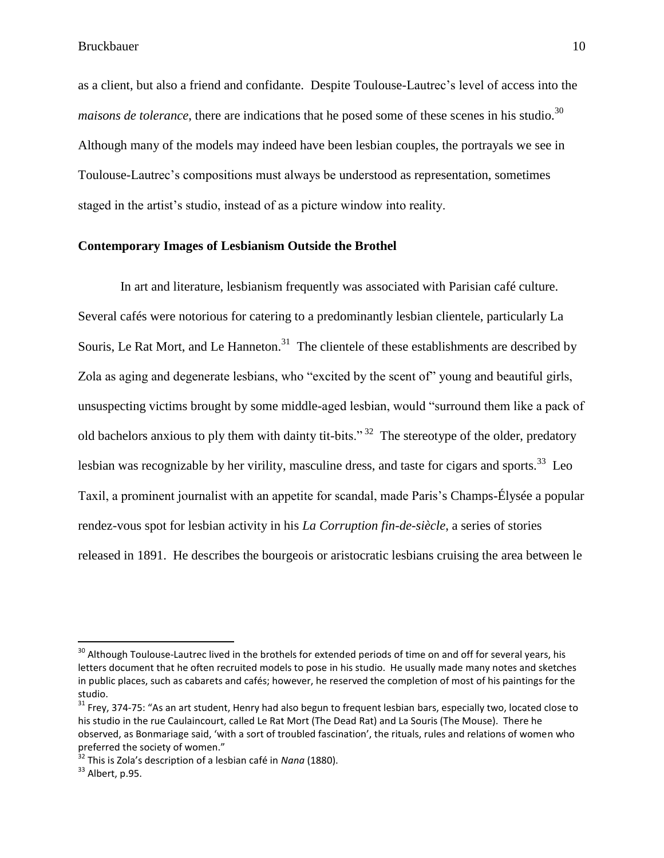as a client, but also a friend and confidante. Despite Toulouse-Lautrec"s level of access into the *maisons de tolerance*, there are indications that he posed some of these scenes in his studio.<sup>30</sup> Although many of the models may indeed have been lesbian couples, the portrayals we see in Toulouse-Lautrec"s compositions must always be understood as representation, sometimes staged in the artist"s studio, instead of as a picture window into reality.

#### **Contemporary Images of Lesbianism Outside the Brothel**

In art and literature, lesbianism frequently was associated with Parisian café culture. Several cafés were notorious for catering to a predominantly lesbian clientele, particularly La Souris, Le Rat Mort, and Le Hanneton.<sup>31</sup> The clientele of these establishments are described by Zola as aging and degenerate lesbians, who "excited by the scent of" young and beautiful girls, unsuspecting victims brought by some middle-aged lesbian, would "surround them like a pack of old bachelors anxious to ply them with dainty tit-bits."<sup>32</sup> The stereotype of the older, predatory lesbian was recognizable by her virility, masculine dress, and taste for cigars and sports.<sup>33</sup> Leo Taxil, a prominent journalist with an appetite for scandal, made Paris"s Champs-Élysée a popular rendez-vous spot for lesbian activity in his *La Corruption fin-de-siècle*, a series of stories released in 1891. He describes the bourgeois or aristocratic lesbians cruising the area between le

<sup>&</sup>lt;sup>30</sup> Although Toulouse-Lautrec lived in the brothels for extended periods of time on and off for several years, his letters document that he often recruited models to pose in his studio. He usually made many notes and sketches in public places, such as cabarets and cafés; however, he reserved the completion of most of his paintings for the studio.

 $31$  Frev, 374-75: "As an art student, Henry had also begun to frequent lesbian bars, especially two, located close to his studio in the rue Caulaincourt, called Le Rat Mort (The Dead Rat) and La Souris (The Mouse). There he observed, as Bonmariage said, 'with a sort of troubled fascination', the rituals, rules and relations of women who preferred the society of women."

<sup>32</sup> This is Zola's description of a lesbian café in *Nana* (1880).

 $33$  Albert, p.95.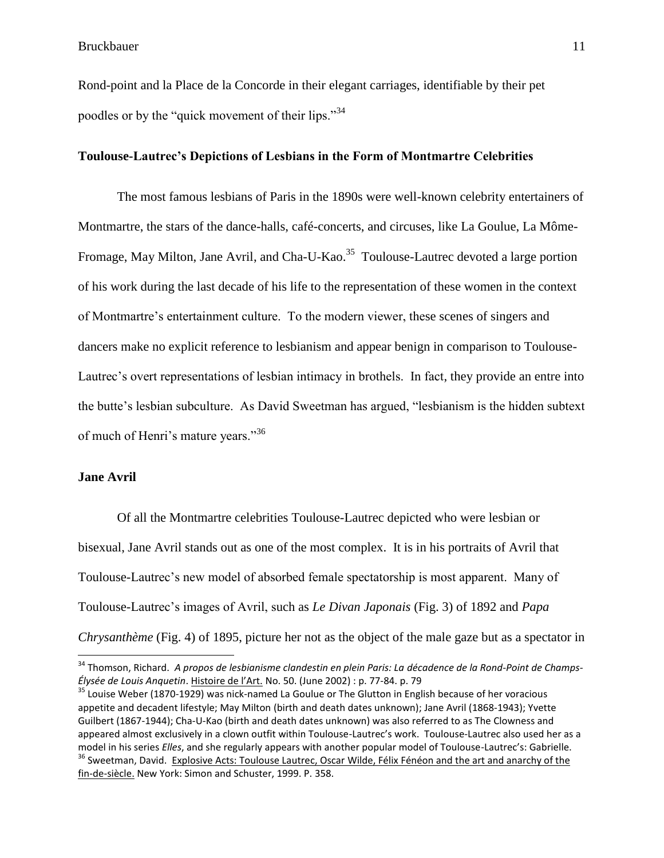Rond-point and la Place de la Concorde in their elegant carriages, identifiable by their pet poodles or by the "quick movement of their lips."<sup>34</sup>

#### **Toulouse-Lautrec's Depictions of Lesbians in the Form of Montmartre Celebrities**

The most famous lesbians of Paris in the 1890s were well-known celebrity entertainers of Montmartre, the stars of the dance-halls, café-concerts, and circuses, like La Goulue, La Môme-Fromage, May Milton, Jane Avril, and Cha-U-Kao.<sup>35</sup> Toulouse-Lautrec devoted a large portion of his work during the last decade of his life to the representation of these women in the context of Montmartre"s entertainment culture. To the modern viewer, these scenes of singers and dancers make no explicit reference to lesbianism and appear benign in comparison to Toulouse-Lautrec's overt representations of lesbian intimacy in brothels. In fact, they provide an entre into the butte"s lesbian subculture. As David Sweetman has argued, "lesbianism is the hidden subtext of much of Henri's mature years."<sup>36</sup>

#### **Jane Avril**

l

Of all the Montmartre celebrities Toulouse-Lautrec depicted who were lesbian or bisexual, Jane Avril stands out as one of the most complex. It is in his portraits of Avril that Toulouse-Lautrec's new model of absorbed female spectatorship is most apparent. Many of Toulouse-Lautrec"s images of Avril, such as *Le Divan Japonais* (Fig. 3) of 1892 and *Papa Chrysanthème* (Fig. 4) of 1895, picture her not as the object of the male gaze but as a spectator in

<sup>34</sup> Thomson, Richard. *A propos de lesbianisme clandestin en plein Paris: La décadence de la Rond-Point de Champs-Élysée de Louis Anquetin*. Histoire de l'Art. No. 50. (June 2002) : p. 77-84. p. 79

<sup>&</sup>lt;sup>35</sup> Louise Weber (1870-1929) was nick-named La Goulue or The Glutton in English because of her voracious appetite and decadent lifestyle; May Milton (birth and death dates unknown); Jane Avril (1868-1943); Yvette Guilbert (1867-1944); Cha-U-Kao (birth and death dates unknown) was also referred to as The Clowness and appeared almost exclusively in a clown outfit within Toulouse-Lautrec's work. Toulouse-Lautrec also used her as a model in his series *Elles*, and she regularly appears with another popular model of Toulouse-Lautrec's: Gabrielle. <sup>36</sup> Sweetman, David. Explosive Acts: Toulouse Lautrec, Oscar Wilde, Félix Fénéon and the art and anarchy of the fin-de-siècle. New York: Simon and Schuster, 1999. P. 358.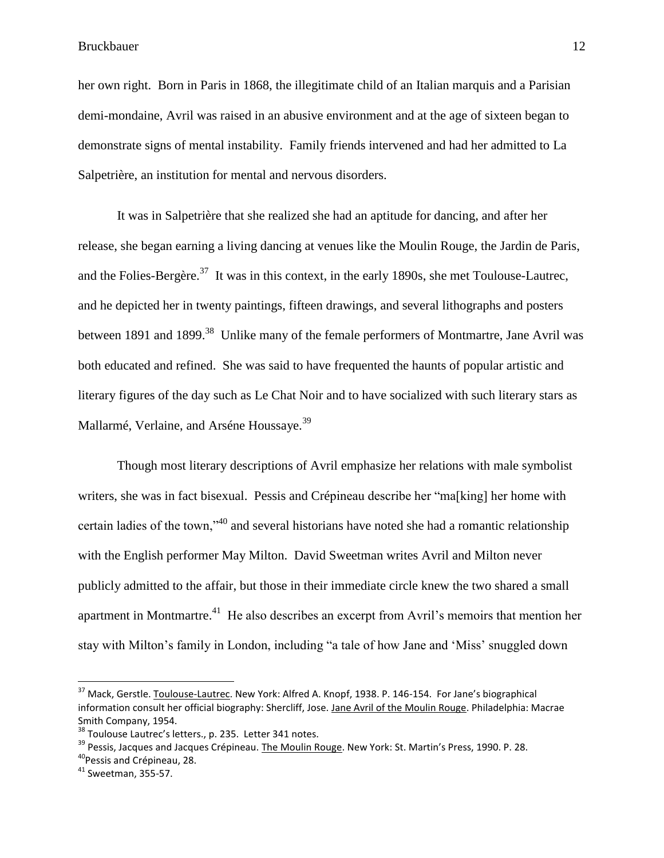her own right. Born in Paris in 1868, the illegitimate child of an Italian marquis and a Parisian demi-mondaine, Avril was raised in an abusive environment and at the age of sixteen began to demonstrate signs of mental instability. Family friends intervened and had her admitted to La Salpetrière, an institution for mental and nervous disorders.

It was in Salpetrière that she realized she had an aptitude for dancing, and after her release, she began earning a living dancing at venues like the Moulin Rouge, the Jardin de Paris, and the Folies-Bergère.<sup>37</sup> It was in this context, in the early 1890s, she met Toulouse-Lautrec, and he depicted her in twenty paintings, fifteen drawings, and several lithographs and posters between 1891 and 1899.<sup>38</sup> Unlike many of the female performers of Montmartre, Jane Avril was both educated and refined. She was said to have frequented the haunts of popular artistic and literary figures of the day such as Le Chat Noir and to have socialized with such literary stars as Mallarmé, Verlaine, and Arséne Houssaye.<sup>39</sup>

Though most literary descriptions of Avril emphasize her relations with male symbolist writers, she was in fact bisexual. Pessis and Crépineau describe her "ma[king] her home with certain ladies of the town,"<sup>40</sup> and several historians have noted she had a romantic relationship with the English performer May Milton. David Sweetman writes Avril and Milton never publicly admitted to the affair, but those in their immediate circle knew the two shared a small apartment in Montmartre.<sup>41</sup> He also describes an excerpt from Avril's memoirs that mention her stay with Milton"s family in London, including "a tale of how Jane and "Miss" snuggled down

<sup>&</sup>lt;sup>37</sup> Mack, Gerstle. Toulouse-Lautrec. New York: Alfred A. Knopf, 1938. P. 146-154. For Jane's biographical information consult her official biography: Shercliff, Jose. Jane Avril of the Moulin Rouge. Philadelphia: Macrae Smith Company, 1954.

<sup>&</sup>lt;sup>38</sup> Toulouse Lautrec's letters., p. 235. Letter 341 notes.

<sup>&</sup>lt;sup>39</sup> Pessis, Jacques and Jacques Crépineau. The Moulin Rouge. New York: St. Martin's Press, 1990. P. 28. <sup>40</sup> Pessis and Crépineau, 28.

<sup>41</sup> Sweetman, 355-57.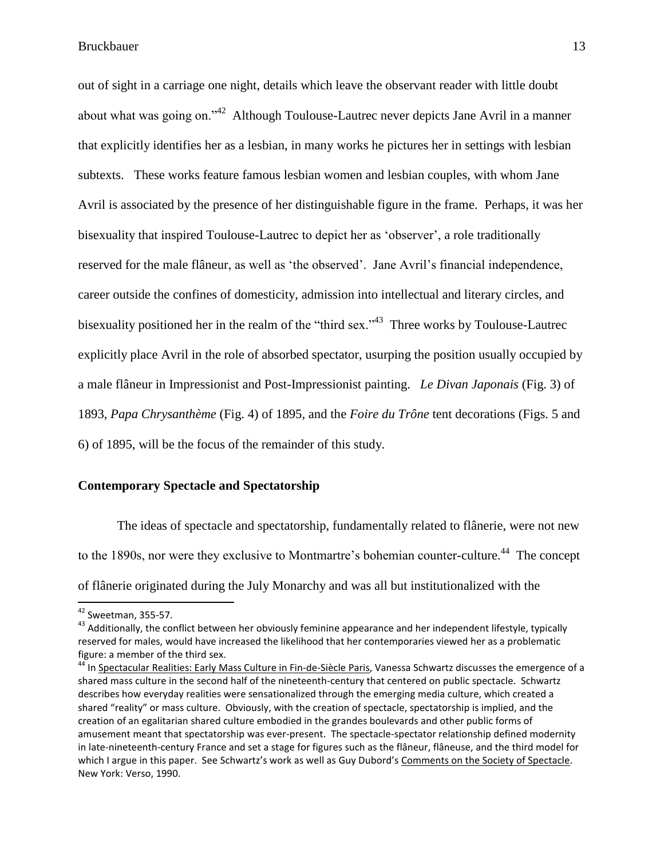out of sight in a carriage one night, details which leave the observant reader with little doubt about what was going on."<sup>42</sup> Although Toulouse-Lautrec never depicts Jane Avril in a manner that explicitly identifies her as a lesbian, in many works he pictures her in settings with lesbian subtexts. These works feature famous lesbian women and lesbian couples, with whom Jane Avril is associated by the presence of her distinguishable figure in the frame. Perhaps, it was her bisexuality that inspired Toulouse-Lautrec to depict her as "observer", a role traditionally reserved for the male flâneur, as well as 'the observed'. Jane Avril's financial independence, career outside the confines of domesticity, admission into intellectual and literary circles, and bisexuality positioned her in the realm of the "third sex."<sup>43</sup> Three works by Toulouse-Lautrec explicitly place Avril in the role of absorbed spectator, usurping the position usually occupied by a male flâneur in Impressionist and Post-Impressionist painting. *Le Divan Japonais* (Fig. 3) of 1893, *Papa Chrysanthème* (Fig. 4) of 1895, and the *Foire du Trône* tent decorations (Figs. 5 and 6) of 1895, will be the focus of the remainder of this study.

#### **Contemporary Spectacle and Spectatorship**

The ideas of spectacle and spectatorship, fundamentally related to flânerie, were not new to the 1890s, nor were they exclusive to Montmartre's bohemian counter-culture.<sup>44</sup> The concept of flânerie originated during the July Monarchy and was all but institutionalized with the

 $\overline{a}$ 

 $42$  Sweetman, 355-57.

<sup>&</sup>lt;sup>43</sup> Additionally, the conflict between her obviously feminine appearance and her independent lifestyle, typically reserved for males, would have increased the likelihood that her contemporaries viewed her as a problematic figure: a member of the third sex.

<sup>44</sup> In Spectacular Realities: Early Mass Culture in Fin-de-Siècle Paris, Vanessa Schwartz discusses the emergence of a shared mass culture in the second half of the nineteenth-century that centered on public spectacle. Schwartz describes how everyday realities were sensationalized through the emerging media culture, which created a shared "reality" or mass culture. Obviously, with the creation of spectacle, spectatorship is implied, and the creation of an egalitarian shared culture embodied in the grandes boulevards and other public forms of amusement meant that spectatorship was ever-present. The spectacle-spectator relationship defined modernity in late-nineteenth-century France and set a stage for figures such as the flâneur, flâneuse, and the third model for which I argue in this paper. See Schwartz's work as well as Guy Dubord's Comments on the Society of Spectacle. New York: Verso, 1990.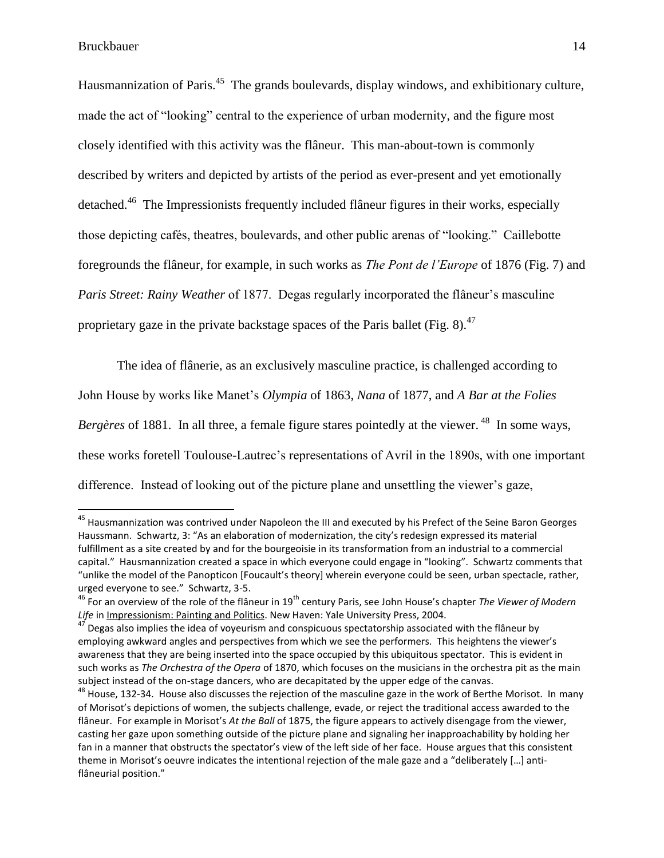Hausmannization of Paris.<sup>45</sup> The grands boulevards, display windows, and exhibitionary culture, made the act of "looking" central to the experience of urban modernity, and the figure most closely identified with this activity was the flâneur. This man-about-town is commonly described by writers and depicted by artists of the period as ever-present and yet emotionally detached.<sup>46</sup> The Impressionists frequently included flâneur figures in their works, especially those depicting cafés, theatres, boulevards, and other public arenas of "looking." Caillebotte foregrounds the flâneur, for example, in such works as *The Pont de l'Europe* of 1876 (Fig. 7) and *Paris Street: Rainy Weather* of 1877. Degas regularly incorporated the flâneur's masculine proprietary gaze in the private backstage spaces of the Paris ballet (Fig. 8).<sup>47</sup>

The idea of flânerie, as an exclusively masculine practice, is challenged according to John House by works like Manet"s *Olympia* of 1863, *Nana* of 1877, and *A Bar at the Folies*  Bergères of 1881. In all three, a female figure stares pointedly at the viewer.<sup>48</sup> In some ways, these works foretell Toulouse-Lautrec"s representations of Avril in the 1890s, with one important difference. Instead of looking out of the picture plane and unsettling the viewer's gaze,

<sup>&</sup>lt;sup>45</sup> Hausmannization was contrived under Napoleon the III and executed by his Prefect of the Seine Baron Georges Haussmann. Schwartz, 3: "As an elaboration of modernization, the city's redesign expressed its material fulfillment as a site created by and for the bourgeoisie in its transformation from an industrial to a commercial capital." Hausmannization created a space in which everyone could engage in "looking". Schwartz comments that "unlike the model of the Panopticon [Foucault's theory] wherein everyone could be seen, urban spectacle, rather, urged everyone to see." Schwartz, 3-5.

<sup>46</sup> For an overview of the role of the flâneur in 19th century Paris, see John House's chapter *The Viewer of Modern Life* in Impressionism: Painting and Politics. New Haven: Yale University Press, 2004.

 $47$  Degas also implies the idea of voyeurism and conspicuous spectatorship associated with the flâneur by employing awkward angles and perspectives from which we see the performers. This heightens the viewer's awareness that they are being inserted into the space occupied by this ubiquitous spectator. This is evident in such works as *The Orchestra of the Opera* of 1870, which focuses on the musicians in the orchestra pit as the main subject instead of the on-stage dancers, who are decapitated by the upper edge of the canvas.

<sup>&</sup>lt;sup>48</sup> House. 132-34. House also discusses the rejection of the masculine gaze in the work of Berthe Morisot. In many of Morisot's depictions of women, the subjects challenge, evade, or reject the traditional access awarded to the flâneur. For example in Morisot's *At the Ball* of 1875, the figure appears to actively disengage from the viewer, casting her gaze upon something outside of the picture plane and signaling her inapproachability by holding her fan in a manner that obstructs the spectator's view of the left side of her face. House argues that this consistent theme in Morisot's oeuvre indicates the intentional rejection of the male gaze and a "deliberately [...] antiflâneurial position."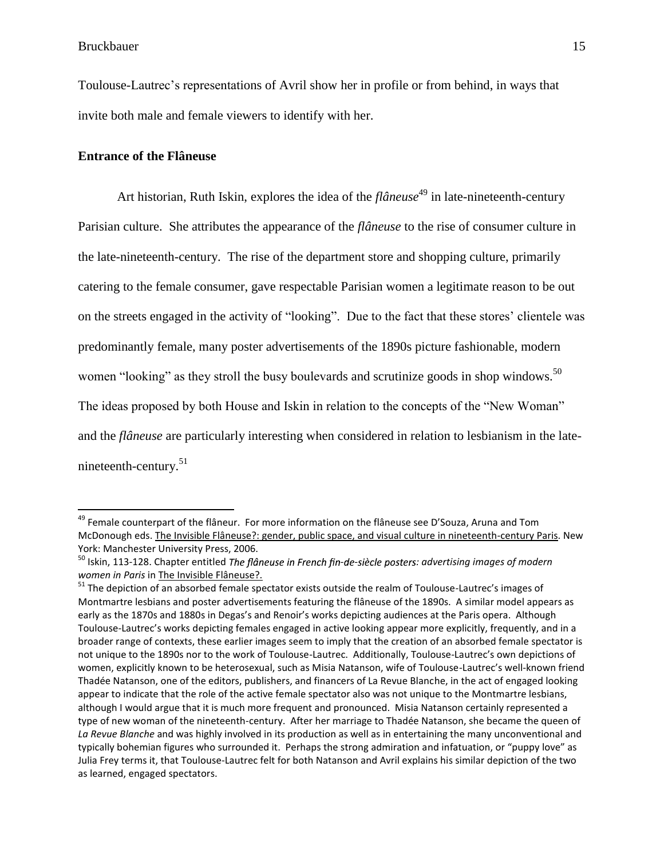Toulouse-Lautrec"s representations of Avril show her in profile or from behind, in ways that invite both male and female viewers to identify with her.

#### **Entrance of the Flâneuse**

Art historian, Ruth Iskin, explores the idea of the *flâneuse*<sup>49</sup> in late-nineteenth-century Parisian culture. She attributes the appearance of the *flâneuse* to the rise of consumer culture in the late-nineteenth-century. The rise of the department store and shopping culture, primarily catering to the female consumer, gave respectable Parisian women a legitimate reason to be out on the streets engaged in the activity of "looking". Due to the fact that these stores" clientele was predominantly female, many poster advertisements of the 1890s picture fashionable, modern women "looking" as they stroll the busy boulevards and scrutinize goods in shop windows.<sup>50</sup> The ideas proposed by both House and Iskin in relation to the concepts of the "New Woman" and the *flâneuse* are particularly interesting when considered in relation to lesbianism in the latenineteenth-century.<sup>51</sup>

<sup>&</sup>lt;sup>49</sup> Female counterpart of the flâneur. For more information on the flâneuse see D'Souza, Aruna and Tom McDonough eds. The Invisible Flâneuse?: gender, public space, and visual culture in nineteenth-century Paris. New York: Manchester University Press, 2006.

<sup>&</sup>lt;sup>50</sup> Iskin, 113-128. Chapter entitled *The flâneuse in French fin-de-siècle posters: advertising images of modern women in Paris* in The Invisible Flâneuse?.

<sup>&</sup>lt;sup>51</sup> The depiction of an absorbed female spectator exists outside the realm of Toulouse-Lautrec's images of Montmartre lesbians and poster advertisements featuring the flâneuse of the 1890s. A similar model appears as early as the 1870s and 1880s in Degas's and Renoir's works depicting audiences at the Paris opera. Although Toulouse-Lautrec's works depicting females engaged in active looking appear more explicitly, frequently, and in a broader range of contexts, these earlier images seem to imply that the creation of an absorbed female spectator is not unique to the 1890s nor to the work of Toulouse-Lautrec. Additionally, Toulouse-Lautrec's own depictions of women, explicitly known to be heterosexual, such as Misia Natanson, wife of Toulouse-Lautrec's well-known friend Thadée Natanson, one of the editors, publishers, and financers of La Revue Blanche, in the act of engaged looking appear to indicate that the role of the active female spectator also was not unique to the Montmartre lesbians, although I would argue that it is much more frequent and pronounced. Misia Natanson certainly represented a type of new woman of the nineteenth-century. After her marriage to Thadée Natanson, she became the queen of *La Revue Blanche* and was highly involved in its production as well as in entertaining the many unconventional and typically bohemian figures who surrounded it. Perhaps the strong admiration and infatuation, or "puppy love" as Julia Frey terms it, that Toulouse-Lautrec felt for both Natanson and Avril explains his similar depiction of the two as learned, engaged spectators.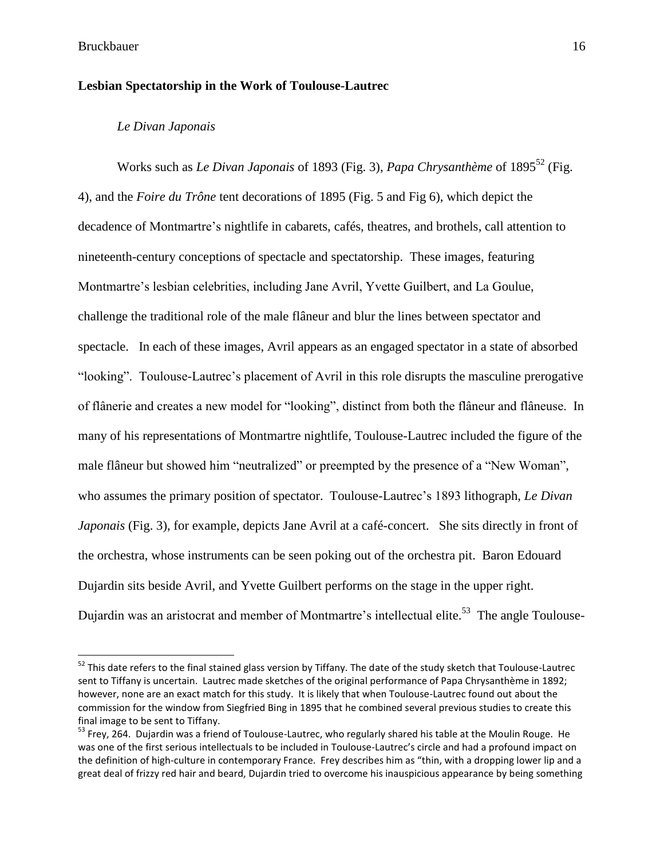#### **Lesbian Spectatorship in the Work of Toulouse-Lautrec**

#### *Le Divan Japonais*

Works such as *Le Divan Japonais* of 1893 (Fig. 3), *Papa Chrysanthème* of 1895<sup>52</sup> (Fig. 4), and the *Foire du Trône* tent decorations of 1895 (Fig. 5 and Fig 6), which depict the decadence of Montmartre's nightlife in cabarets, cafés, theatres, and brothels, call attention to nineteenth-century conceptions of spectacle and spectatorship. These images, featuring Montmartre"s lesbian celebrities, including Jane Avril, Yvette Guilbert, and La Goulue, challenge the traditional role of the male flâneur and blur the lines between spectator and spectacle. In each of these images, Avril appears as an engaged spectator in a state of absorbed "looking". Toulouse-Lautrec"s placement of Avril in this role disrupts the masculine prerogative of flânerie and creates a new model for "looking", distinct from both the flâneur and flâneuse. In many of his representations of Montmartre nightlife, Toulouse-Lautrec included the figure of the male flâneur but showed him "neutralized" or preempted by the presence of a "New Woman", who assumes the primary position of spectator. Toulouse-Lautrec's 1893 lithograph, *Le Divan Japonais* (Fig. 3), for example, depicts Jane Avril at a café-concert. She sits directly in front of the orchestra, whose instruments can be seen poking out of the orchestra pit. Baron Edouard Dujardin sits beside Avril, and Yvette Guilbert performs on the stage in the upper right. Dujardin was an aristocrat and member of Montmartre's intellectual elite.<sup>53</sup> The angle Toulouse-

<sup>&</sup>lt;sup>52</sup> This date refers to the final stained glass version by Tiffany. The date of the study sketch that Toulouse-Lautrec sent to Tiffany is uncertain. Lautrec made sketches of the original performance of Papa Chrysanthème in 1892; however, none are an exact match for this study. It is likely that when Toulouse-Lautrec found out about the commission for the window from Siegfried Bing in 1895 that he combined several previous studies to create this final image to be sent to Tiffany.

<sup>&</sup>lt;sup>53</sup> Frey, 264. Dujardin was a friend of Toulouse-Lautrec, who regularly shared his table at the Moulin Rouge. He was one of the first serious intellectuals to be included in Toulouse-Lautrec's circle and had a profound impact on the definition of high-culture in contemporary France. Frey describes him as "thin, with a dropping lower lip and a great deal of frizzy red hair and beard, Dujardin tried to overcome his inauspicious appearance by being something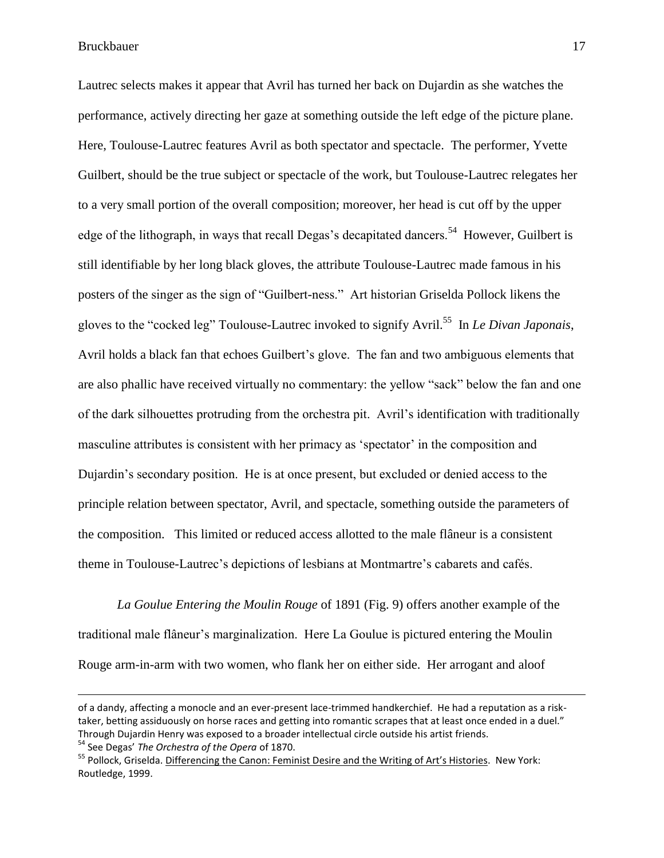Lautrec selects makes it appear that Avril has turned her back on Dujardin as she watches the performance, actively directing her gaze at something outside the left edge of the picture plane. Here, Toulouse-Lautrec features Avril as both spectator and spectacle. The performer, Yvette Guilbert, should be the true subject or spectacle of the work, but Toulouse-Lautrec relegates her to a very small portion of the overall composition; moreover, her head is cut off by the upper edge of the lithograph, in ways that recall Degas's decapitated dancers.<sup>54</sup> However, Guilbert is still identifiable by her long black gloves, the attribute Toulouse-Lautrec made famous in his posters of the singer as the sign of "Guilbert-ness." Art historian Griselda Pollock likens the gloves to the "cocked leg" Toulouse-Lautrec invoked to signify Avril.<sup>55</sup> In *Le Divan Japonais*, Avril holds a black fan that echoes Guilbert's glove. The fan and two ambiguous elements that are also phallic have received virtually no commentary: the yellow "sack" below the fan and one of the dark silhouettes protruding from the orchestra pit. Avril"s identification with traditionally masculine attributes is consistent with her primacy as 'spectator' in the composition and Dujardin"s secondary position. He is at once present, but excluded or denied access to the principle relation between spectator, Avril, and spectacle, something outside the parameters of the composition. This limited or reduced access allotted to the male flâneur is a consistent theme in Toulouse-Lautrec's depictions of lesbians at Montmartre's cabarets and cafés.

*La Goulue Entering the Moulin Rouge* of 1891 (Fig. 9) offers another example of the traditional male flâneur"s marginalization. Here La Goulue is pictured entering the Moulin Rouge arm-in-arm with two women, who flank her on either side. Her arrogant and aloof

 $\overline{a}$ 

of a dandy, affecting a monocle and an ever-present lace-trimmed handkerchief. He had a reputation as a risktaker, betting assiduously on horse races and getting into romantic scrapes that at least once ended in a duel." Through Dujardin Henry was exposed to a broader intellectual circle outside his artist friends.

<sup>54</sup> See Degas' *The Orchestra of the Opera* of 1870.

<sup>&</sup>lt;sup>55</sup> Pollock, Griselda. Differencing the Canon: Feminist Desire and the Writing of Art's Histories. New York: Routledge, 1999.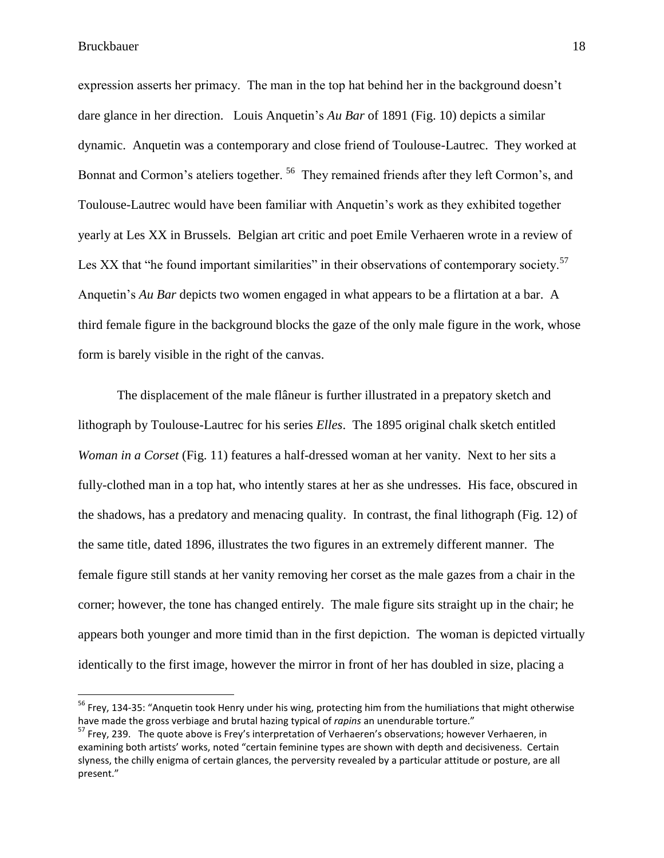$\overline{a}$ 

expression asserts her primacy. The man in the top hat behind her in the background doesn"t dare glance in her direction. Louis Anquetin"s *Au Bar* of 1891 (Fig. 10) depicts a similar dynamic. Anquetin was a contemporary and close friend of Toulouse-Lautrec. They worked at Bonnat and Cormon's ateliers together.<sup>56</sup> They remained friends after they left Cormon's, and Toulouse-Lautrec would have been familiar with Anquetin"s work as they exhibited together yearly at Les XX in Brussels. Belgian art critic and poet Emile Verhaeren wrote in a review of Les XX that "he found important similarities" in their observations of contemporary society.<sup>57</sup> Anquetin"s *Au Bar* depicts two women engaged in what appears to be a flirtation at a bar. A third female figure in the background blocks the gaze of the only male figure in the work, whose form is barely visible in the right of the canvas.

The displacement of the male flâneur is further illustrated in a prepatory sketch and lithograph by Toulouse-Lautrec for his series *Elles*. The 1895 original chalk sketch entitled *Woman in a Corset* (Fig. 11) features a half-dressed woman at her vanity. Next to her sits a fully-clothed man in a top hat, who intently stares at her as she undresses. His face, obscured in the shadows, has a predatory and menacing quality. In contrast, the final lithograph (Fig. 12) of the same title, dated 1896, illustrates the two figures in an extremely different manner. The female figure still stands at her vanity removing her corset as the male gazes from a chair in the corner; however, the tone has changed entirely. The male figure sits straight up in the chair; he appears both younger and more timid than in the first depiction. The woman is depicted virtually identically to the first image, however the mirror in front of her has doubled in size, placing a

<sup>&</sup>lt;sup>56</sup> Frey, 134-35: "Anquetin took Henry under his wing, protecting him from the humiliations that might otherwise have made the gross verbiage and brutal hazing typical of *rapins* an unendurable torture."

<sup>&</sup>lt;sup>57</sup> Frey, 239. The quote above is Frey's interpretation of Verhaeren's observations; however Verhaeren, in examining both artists' works, noted "certain feminine types are shown with depth and decisiveness. Certain slyness, the chilly enigma of certain glances, the perversity revealed by a particular attitude or posture, are all present."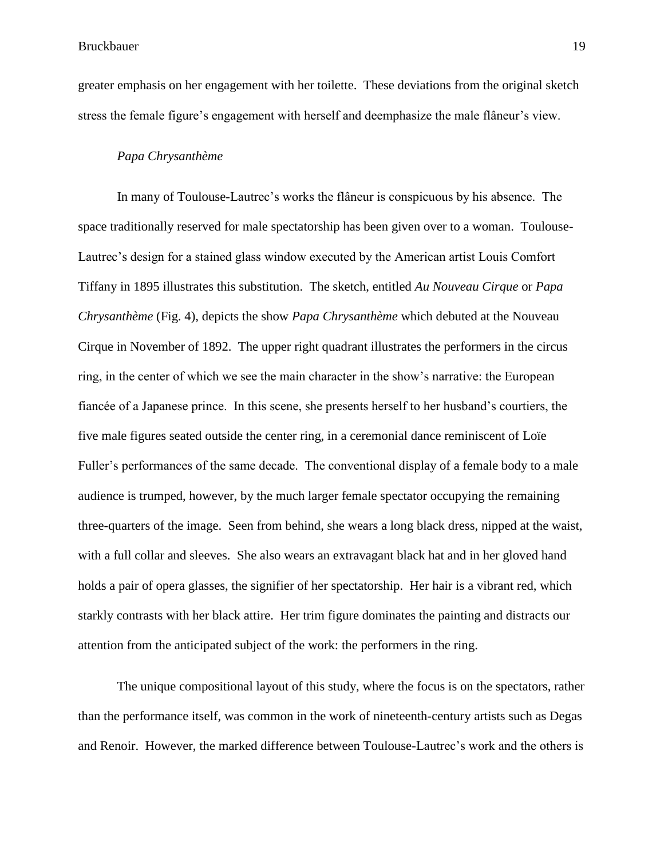greater emphasis on her engagement with her toilette. These deviations from the original sketch stress the female figure's engagement with herself and deemphasize the male flâneur's view.

#### *Papa Chrysanthème*

In many of Toulouse-Lautrec's works the flâneur is conspicuous by his absence. The space traditionally reserved for male spectatorship has been given over to a woman. Toulouse-Lautrec"s design for a stained glass window executed by the American artist Louis Comfort Tiffany in 1895 illustrates this substitution. The sketch, entitled *Au Nouveau Cirque* or *Papa Chrysanthème* (Fig. 4), depicts the show *Papa Chrysanthème* which debuted at the Nouveau Cirque in November of 1892. The upper right quadrant illustrates the performers in the circus ring, in the center of which we see the main character in the show"s narrative: the European fiancée of a Japanese prince. In this scene, she presents herself to her husband"s courtiers, the five male figures seated outside the center ring, in a ceremonial dance reminiscent of Loïe Fuller's performances of the same decade. The conventional display of a female body to a male audience is trumped, however, by the much larger female spectator occupying the remaining three-quarters of the image. Seen from behind, she wears a long black dress, nipped at the waist, with a full collar and sleeves. She also wears an extravagant black hat and in her gloved hand holds a pair of opera glasses, the signifier of her spectatorship. Her hair is a vibrant red, which starkly contrasts with her black attire. Her trim figure dominates the painting and distracts our attention from the anticipated subject of the work: the performers in the ring.

The unique compositional layout of this study, where the focus is on the spectators, rather than the performance itself, was common in the work of nineteenth-century artists such as Degas and Renoir. However, the marked difference between Toulouse-Lautrec"s work and the others is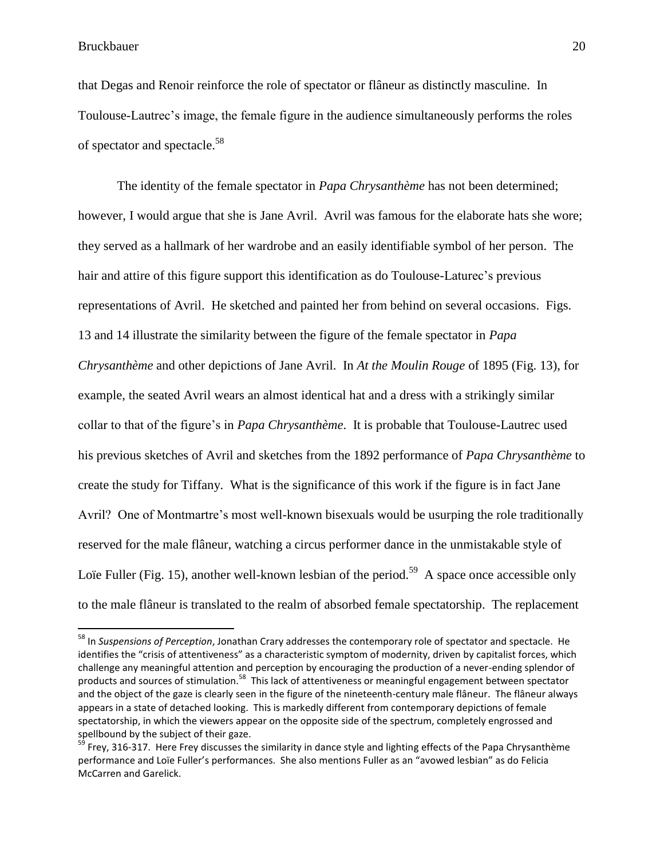$\overline{a}$ 

that Degas and Renoir reinforce the role of spectator or flâneur as distinctly masculine. In Toulouse-Lautrec's image, the female figure in the audience simultaneously performs the roles of spectator and spectacle.<sup>58</sup>

The identity of the female spectator in *Papa Chrysanthème* has not been determined; however, I would argue that she is Jane Avril. Avril was famous for the elaborate hats she wore; they served as a hallmark of her wardrobe and an easily identifiable symbol of her person. The hair and attire of this figure support this identification as do Toulouse-Laturec"s previous representations of Avril. He sketched and painted her from behind on several occasions. Figs. 13 and 14 illustrate the similarity between the figure of the female spectator in *Papa Chrysanthème* and other depictions of Jane Avril. In *At the Moulin Rouge* of 1895 (Fig. 13), for example, the seated Avril wears an almost identical hat and a dress with a strikingly similar collar to that of the figure"s in *Papa Chrysanthème*. It is probable that Toulouse-Lautrec used his previous sketches of Avril and sketches from the 1892 performance of *Papa Chrysanthème* to create the study for Tiffany. What is the significance of this work if the figure is in fact Jane Avril? One of Montmartre"s most well-known bisexuals would be usurping the role traditionally reserved for the male flâneur, watching a circus performer dance in the unmistakable style of Loïe Fuller (Fig. 15), another well-known lesbian of the period.<sup>59</sup> A space once accessible only to the male flâneur is translated to the realm of absorbed female spectatorship. The replacement

<sup>58</sup> In *Suspensions of Perception*, Jonathan Crary addresses the contemporary role of spectator and spectacle. He identifies the "crisis of attentiveness" as a characteristic symptom of modernity, driven by capitalist forces, which challenge any meaningful attention and perception by encouraging the production of a never-ending splendor of products and sources of stimulation.<sup>58</sup> This lack of attentiveness or meaningful engagement between spectator and the object of the gaze is clearly seen in the figure of the nineteenth-century male flâneur. The flâneur always appears in a state of detached looking. This is markedly different from contemporary depictions of female spectatorship, in which the viewers appear on the opposite side of the spectrum, completely engrossed and spellbound by the subject of their gaze.

<sup>&</sup>lt;sup>59</sup> Frey, 316-317. Here Frey discusses the similarity in dance style and lighting effects of the Papa Chrysanthème performance and Loïe Fuller's performances. She also mentions Fuller as an "avowed lesbian" as do Felicia McCarren and Garelick.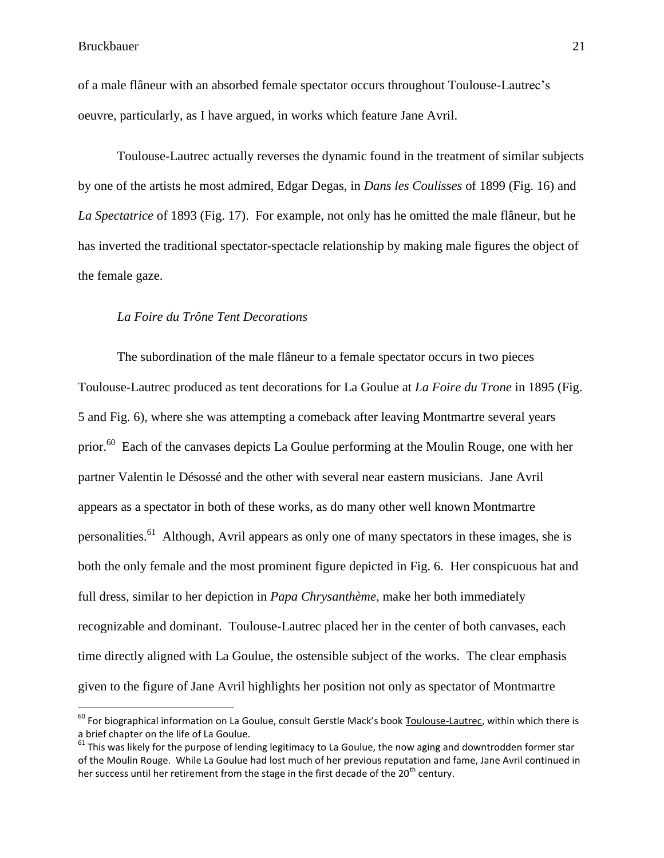of a male flâneur with an absorbed female spectator occurs throughout Toulouse-Lautrec"s oeuvre, particularly, as I have argued, in works which feature Jane Avril.

Toulouse-Lautrec actually reverses the dynamic found in the treatment of similar subjects by one of the artists he most admired, Edgar Degas, in *Dans les Coulisses* of 1899 (Fig. 16) and *La Spectatrice* of 1893 (Fig. 17). For example, not only has he omitted the male flâneur, but he has inverted the traditional spectator-spectacle relationship by making male figures the object of the female gaze.

#### *La Foire du Trône Tent Decorations*

The subordination of the male flâneur to a female spectator occurs in two pieces Toulouse-Lautrec produced as tent decorations for La Goulue at *La Foire du Trone* in 1895 (Fig. 5 and Fig. 6), where she was attempting a comeback after leaving Montmartre several years prior.<sup>60</sup> Each of the canvases depicts La Goulue performing at the Moulin Rouge, one with her partner Valentin le Désossé and the other with several near eastern musicians. Jane Avril appears as a spectator in both of these works, as do many other well known Montmartre personalities.<sup>61</sup> Although, Avril appears as only one of many spectators in these images, she is both the only female and the most prominent figure depicted in Fig. 6. Her conspicuous hat and full dress, similar to her depiction in *Papa Chrysanthème*, make her both immediately recognizable and dominant. Toulouse-Lautrec placed her in the center of both canvases, each time directly aligned with La Goulue, the ostensible subject of the works. The clear emphasis given to the figure of Jane Avril highlights her position not only as spectator of Montmartre

 $^{60}$  For biographical information on La Goulue, consult Gerstle Mack's book Toulouse-Lautrec, within which there is a brief chapter on the life of La Goulue.

 $61$  This was likely for the purpose of lending legitimacy to La Goulue, the now aging and downtrodden former star of the Moulin Rouge. While La Goulue had lost much of her previous reputation and fame, Jane Avril continued in her success until her retirement from the stage in the first decade of the  $20<sup>th</sup>$  century.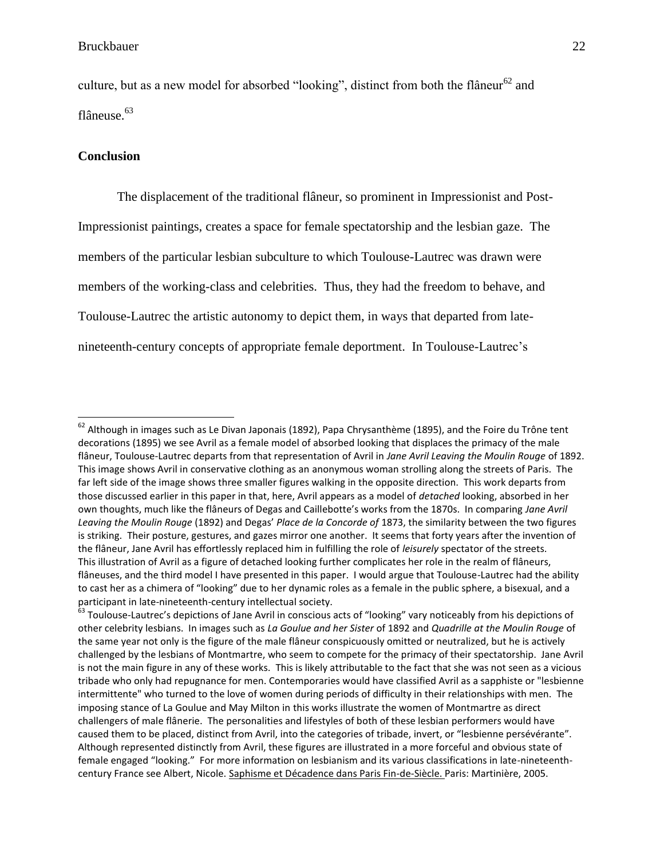culture, but as a new model for absorbed "looking", distinct from both the flâneur<sup>62</sup> and flâneuse.<sup>63</sup>

#### **Conclusion**

 $\overline{\phantom{a}}$ 

The displacement of the traditional flâneur, so prominent in Impressionist and Post-Impressionist paintings, creates a space for female spectatorship and the lesbian gaze. The members of the particular lesbian subculture to which Toulouse-Lautrec was drawn were members of the working-class and celebrities. Thus, they had the freedom to behave, and Toulouse-Lautrec the artistic autonomy to depict them, in ways that departed from latenineteenth-century concepts of appropriate female deportment. In Toulouse-Lautrec"s

 $^{62}$  Although in images such as Le Divan Japonais (1892), Papa Chrysanthème (1895), and the Foire du Trône tent decorations (1895) we see Avril as a female model of absorbed looking that displaces the primacy of the male flâneur, Toulouse-Lautrec departs from that representation of Avril in *Jane Avril Leaving the Moulin Rouge* of 1892. This image shows Avril in conservative clothing as an anonymous woman strolling along the streets of Paris. The far left side of the image shows three smaller figures walking in the opposite direction. This work departs from those discussed earlier in this paper in that, here, Avril appears as a model of *detached* looking, absorbed in her own thoughts, much like the flâneurs of Degas and Caillebotte's works from the 1870s. In comparing *Jane Avril Leaving the Moulin Rouge* (1892) and Degas' *Place de la Concorde of* 1873, the similarity between the two figures is striking. Their posture, gestures, and gazes mirror one another. It seems that forty years after the invention of the flâneur, Jane Avril has effortlessly replaced him in fulfilling the role of *leisurely* spectator of the streets. This illustration of Avril as a figure of detached looking further complicates her role in the realm of flâneurs, flâneuses, and the third model I have presented in this paper. I would argue that Toulouse-Lautrec had the ability to cast her as a chimera of "looking" due to her dynamic roles as a female in the public sphere, a bisexual, and a participant in late-nineteenth-century intellectual society.

<sup>&</sup>lt;sup>63</sup> Toulouse-Lautrec's depictions of Jane Avril in conscious acts of "looking" vary noticeably from his depictions of other celebrity lesbians. In images such as *La Goulue and her Sister* of 1892 and *Quadrille at the Moulin Rouge* of the same year not only is the figure of the male flâneur conspicuously omitted or neutralized, but he is actively challenged by the lesbians of Montmartre, who seem to compete for the primacy of their spectatorship. Jane Avril is not the main figure in any of these works. This is likely attributable to the fact that she was not seen as a vicious tribade who only had repugnance for men. Contemporaries would have classified Avril as a sapphiste or "lesbienne intermittente" who turned to the love of women during periods of difficulty in their relationships with men. The imposing stance of La Goulue and May Milton in this works illustrate the women of Montmartre as direct challengers of male flânerie. The personalities and lifestyles of both of these lesbian performers would have caused them to be placed, distinct from Avril, into the categories of tribade, invert, or "lesbienne persévérante". Although represented distinctly from Avril, these figures are illustrated in a more forceful and obvious state of female engaged "looking." For more information on lesbianism and its various classifications in late-nineteenthcentury France see Albert, Nicole. Saphisme et Décadence dans Paris Fin-de-Siècle. Paris: Martinière, 2005.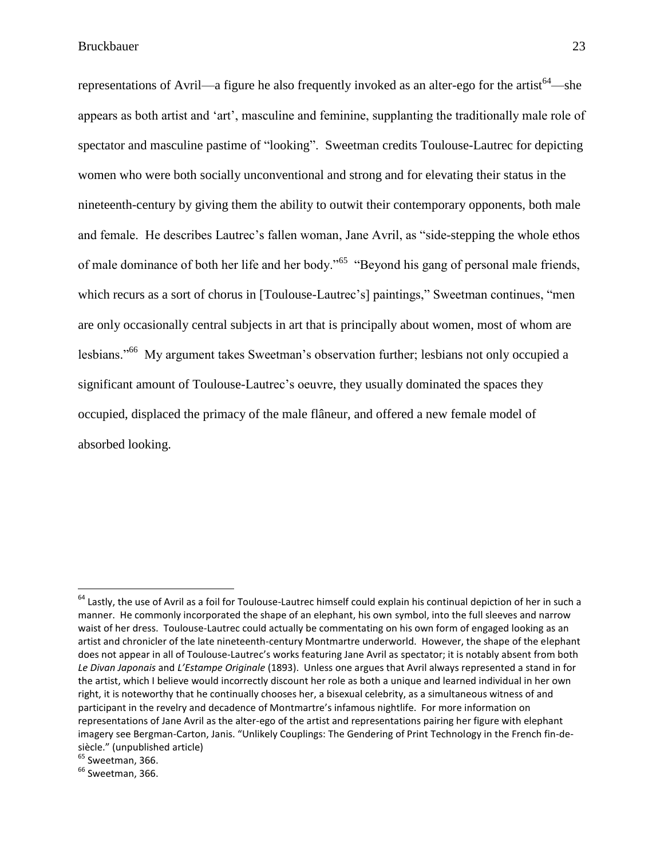representations of Avril—a figure he also frequently invoked as an alter-ego for the artist<sup>64</sup>—she appears as both artist and "art", masculine and feminine, supplanting the traditionally male role of spectator and masculine pastime of "looking". Sweetman credits Toulouse-Lautrec for depicting women who were both socially unconventional and strong and for elevating their status in the nineteenth-century by giving them the ability to outwit their contemporary opponents, both male and female. He describes Lautrec's fallen woman, Jane Avril, as "side-stepping the whole ethos of male dominance of both her life and her body."<sup>65</sup> "Beyond his gang of personal male friends, which recurs as a sort of chorus in [Toulouse-Lautrec's] paintings," Sweetman continues, "men are only occasionally central subjects in art that is principally about women, most of whom are lesbians."<sup>66</sup> My argument takes Sweetman"s observation further; lesbians not only occupied a significant amount of Toulouse-Lautrec's oeuvre, they usually dominated the spaces they occupied, displaced the primacy of the male flâneur, and offered a new female model of absorbed looking.

 $65$  Sweetman, 366.

 $^{64}$  Lastly, the use of Avril as a foil for Toulouse-Lautrec himself could explain his continual depiction of her in such a manner. He commonly incorporated the shape of an elephant, his own symbol, into the full sleeves and narrow waist of her dress. Toulouse-Lautrec could actually be commentating on his own form of engaged looking as an artist and chronicler of the late nineteenth-century Montmartre underworld. However, the shape of the elephant does not appear in all of Toulouse-Lautrec's works featuring Jane Avril as spectator; it is notably absent from both *Le Divan Japonais* and *L'Estampe Originale* (1893). Unless one argues that Avril always represented a stand in for the artist, which I believe would incorrectly discount her role as both a unique and learned individual in her own right, it is noteworthy that he continually chooses her, a bisexual celebrity, as a simultaneous witness of and participant in the revelry and decadence of Montmartre's infamous nightlife. For more information on representations of Jane Avril as the alter-ego of the artist and representations pairing her figure with elephant imagery see Bergman-Carton, Janis. "Unlikely Couplings: The Gendering of Print Technology in the French fin-desiècle." (unpublished article)

 $66$  Sweetman, 366.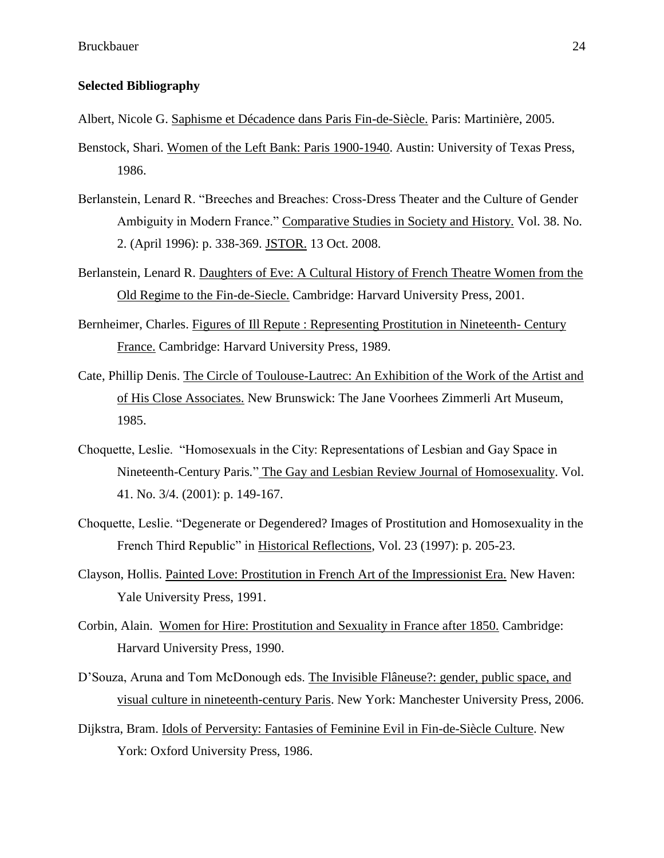#### **Selected Bibliography**

- Albert, Nicole G. Saphisme et Décadence dans Paris Fin-de-Siècle. Paris: Martinière, 2005.
- Benstock, Shari. Women of the Left Bank: Paris 1900-1940. Austin: University of Texas Press, 1986.
- Berlanstein, Lenard R. "Breeches and Breaches: Cross-Dress Theater and the Culture of Gender Ambiguity in Modern France." Comparative Studies in Society and History. Vol. 38. No. 2. (April 1996): p. 338-369. JSTOR. 13 Oct. 2008.
- Berlanstein, Lenard R. Daughters of Eve: A Cultural History of French Theatre Women from the Old Regime to the Fin-de-Siecle. Cambridge: Harvard University Press, 2001.
- Bernheimer, Charles. Figures of Ill Repute : Representing Prostitution in Nineteenth- Century France. Cambridge: Harvard University Press, 1989.
- Cate, Phillip Denis. The Circle of Toulouse-Lautrec: An Exhibition of the Work of the Artist and of His Close Associates. New Brunswick: The Jane Voorhees Zimmerli Art Museum, 1985.
- Choquette, Leslie. "Homosexuals in the City: Representations of Lesbian and Gay Space in Nineteenth-Century Paris*.*" The Gay and Lesbian Review Journal of Homosexuality. Vol. 41. No. 3/4. (2001): p. 149-167.
- Choquette, Leslie. "Degenerate or Degendered? Images of Prostitution and Homosexuality in the French Third Republic" in Historical Reflections, Vol. 23 (1997): p. 205-23.
- Clayson, Hollis. Painted Love: Prostitution in French Art of the Impressionist Era. New Haven: Yale University Press, 1991.
- Corbin, Alain. Women for Hire: Prostitution and Sexuality in France after 1850. Cambridge: Harvard University Press, 1990.
- D"Souza, Aruna and Tom McDonough eds. The Invisible Flâneuse?: gender, public space, and visual culture in nineteenth-century Paris. New York: Manchester University Press, 2006.
- Dijkstra, Bram. Idols of Perversity: Fantasies of Feminine Evil in Fin-de-Siècle Culture. New York: Oxford University Press, 1986.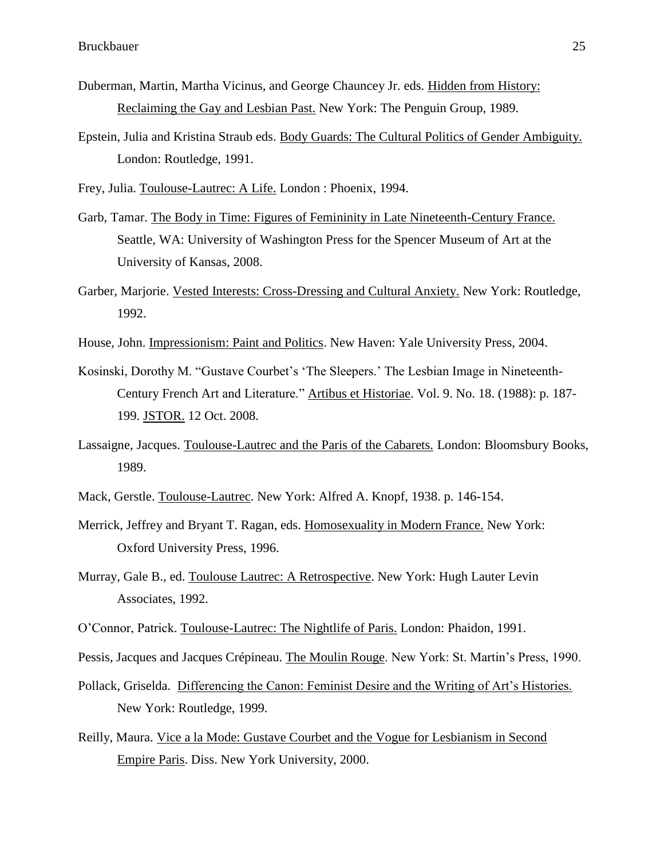- Duberman, Martin, Martha Vicinus, and George Chauncey Jr. eds. Hidden from History: Reclaiming the Gay and Lesbian Past. New York: The Penguin Group, 1989.
- Epstein, Julia and Kristina Straub eds. Body Guards: The Cultural Politics of Gender Ambiguity. London: Routledge, 1991.
- Frey, Julia. Toulouse-Lautrec: A Life. London : Phoenix, 1994.
- Garb, Tamar. The Body in Time: Figures of Femininity in Late Nineteenth-Century France. Seattle, WA: University of Washington Press for the Spencer Museum of Art at the University of Kansas, 2008.
- Garber, Marjorie. Vested Interests: Cross-Dressing and Cultural Anxiety. New York: Routledge, 1992.
- House, John. Impressionism: Paint and Politics. New Haven: Yale University Press, 2004.
- Kosinski, Dorothy M. "Gustave Courbet's 'The Sleepers.' The Lesbian Image in Nineteenth-Century French Art and Literature." Artibus et Historiae. Vol. 9. No. 18. (1988): p. 187- 199. JSTOR. 12 Oct. 2008.
- Lassaigne, Jacques. Toulouse-Lautrec and the Paris of the Cabarets. London: Bloomsbury Books, 1989.
- Mack, Gerstle. Toulouse-Lautrec. New York: Alfred A. Knopf, 1938. p. 146-154.
- Merrick, Jeffrey and Bryant T. Ragan, eds. Homosexuality in Modern France. New York: Oxford University Press, 1996.
- Murray, Gale B., ed. Toulouse Lautrec: A Retrospective. New York: Hugh Lauter Levin Associates, 1992.
- O"Connor, Patrick. Toulouse-Lautrec: The Nightlife of Paris. London: Phaidon, 1991.
- Pessis, Jacques and Jacques Crépineau. The Moulin Rouge. New York: St. Martin"s Press, 1990.
- Pollack, Griselda. Differencing the Canon: Feminist Desire and the Writing of Art's Histories. New York: Routledge, 1999.
- Reilly, Maura. Vice a la Mode: Gustave Courbet and the Vogue for Lesbianism in Second Empire Paris. Diss. New York University, 2000.